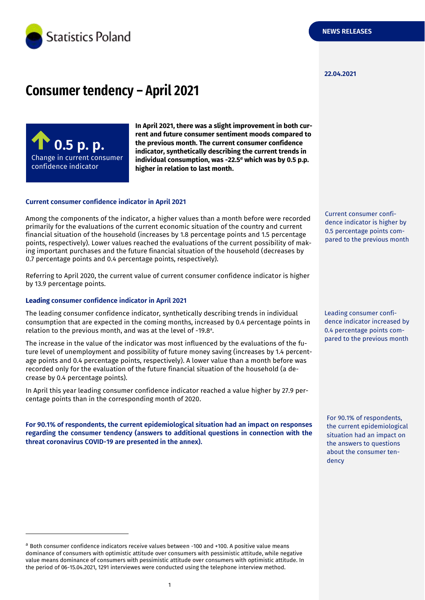

#### **22.04.2021**

# **Consumer tendency – April 2021**



**In April 2021, there was a slight improvement in both current and future consumer sentiment moods compared to the previous month. The current consumer confidence indicator, synthetically describing the current trends in individual consumption, was -22.5** *<sup>a</sup>* **which was by 0.5 p.p. higher in relation to last month.**

#### **Current consumer confidence indicator in April 2021**

Among the components of the indicator, a higher values than a month before were recorded primarily for the evaluations of the current economic situation of the country and current financial situation of the household (increases by 1.8 percentage points and 1.5 percentage points, respectively). Lower values reached the evaluations of the current possibility of making important purchases and the future financial situation of the household (decreases by 0.7 percentage points and 0.4 percentage points, respectively).

Referring to April 2020, the current value of current consumer confidence indicator is higher by 13.9 percentage points.

#### **Leading consumer confidence indicator in April 2021**

-

The leading consumer confidence indicator, synthetically describing trends in individual consumption that are expected in the coming months, increased by 0.4 percentage points in relation to the previous month, and was at the level of -19.8 a .

The increase in the value of the indicator was most influenced by the evaluations of the future level of unemployment and possibility of future money saving (increases by 1.4 percentage points and 0.4 percentage points, respectively). A lower value than a month before was recorded only for the evaluation of the future financial situation of the household (a decrease by 0.4 percentage points).

In April this year leading consumer confidence indicator reached a value higher by 27.9 percentage points than in the corresponding month of 2020.

**For 90.1% of respondents, the current epidemiological situation had an impact on responses regarding the consumer tendency (answers to additional questions in connection with the threat coronavirus COVID-19 are presented in the annex).** 

Current consumer confidence indicator is higher by 0.5 percentage points compared to the previous month

Leading consumer confidence indicator increased by 0.4 percentage points compared to the previous month

For 90.1% of respondents, the current epidemiological situation had an impact on the answers to questions about the consumer tendency

<sup>a</sup> Both consumer confidence indicators receive values between -100 and +100. A positive value means dominance of consumers with optimistic attitude over consumers with pessimistic attitude, while negative value means dominance of consumers with pessimistic attitude over consumers with optimistic attitude. In the period of 06-15.04.2021, 1291 interviewes were conducted using the telephone interview method.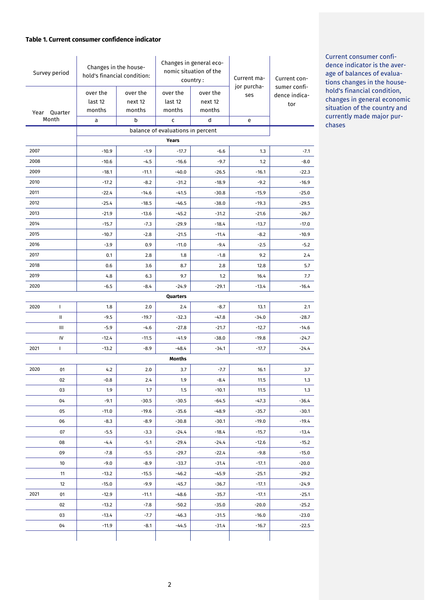# **Table 1. Current consumer confidence indicator**

| Survey period                     |              | Changes in the house-<br>hold's financial condition: |          | Changes in general eco-<br>nomic situation of the<br>country: |          | Current ma-        | Current con-                  |
|-----------------------------------|--------------|------------------------------------------------------|----------|---------------------------------------------------------------|----------|--------------------|-------------------------------|
|                                   |              | over the                                             | over the | over the                                                      | over the | jor purcha-<br>ses | sumer confi-<br>dence indica- |
|                                   |              | last 12                                              | next 12  | last 12                                                       | next 12  |                    | tor                           |
|                                   | Year Quarter | months                                               | months   | months                                                        | months   |                    |                               |
|                                   | Month        | а                                                    | b        | C                                                             | d        | e                  |                               |
| balance of evaluations in percent |              |                                                      |          |                                                               |          |                    |                               |
|                                   |              |                                                      |          | Years                                                         |          |                    |                               |
| 2007                              |              | $-10.9$                                              | $-1.9$   | $-17.7$                                                       | $-6.6$   | 1.3                | $-7.1$                        |
| 2008                              |              | $-10.6$                                              | $-4.5$   | $-16.6$                                                       | $-9.7$   | 1.2                | $-8.0$                        |
| 2009                              |              | $-18.1$                                              | $-11.1$  | $-40.0$                                                       | $-26.5$  | $-16.1$            | $-22.3$                       |
| 2010                              |              | $-17.2$                                              | $-8.2$   | $-31.2$                                                       | $-18.9$  | $-9.2$             | $-16.9$                       |
| 2011                              |              | $-22.4$                                              | $-14.6$  | $-41.5$                                                       | $-30.8$  | $-15.9$            | $-25.0$                       |
| 2012                              |              | $-25.4$                                              | $-18.5$  | $-46.5$                                                       | $-38.0$  | $-19.3$            | $-29.5$                       |
| 2013<br>2014                      |              | $-21.9$                                              | $-13.6$  | $-45.2$                                                       | $-31.2$  | $-21.6$            | $-26.7$                       |
| 2015                              |              | $-15.7$                                              | $-7.3$   | $-29.9$                                                       | $-18.4$  | $-13.7$            | $-17.0$                       |
|                                   |              | $-10.7$                                              | $-2.8$   | $-21.5$                                                       | $-11.4$  | $-8.2$             | $-10.9$                       |
| 2016<br>2017                      |              | $-3.9$                                               | 0.9      | $-11.0$                                                       | $-9.4$   | $-2.5$             | $-5.2$                        |
|                                   |              | 0.1                                                  | 2.8      | 1.8                                                           | $-1.8$   | 9.2                | 2.4                           |
| 2018                              |              | 0.6                                                  | 3.6      | 8.7                                                           | 2.8      | 12.8               | 5.7                           |
| 2019                              |              | 4.8                                                  | 6.3      | 9.7                                                           | 1.2      | 16.4               | 7.7                           |
| 2020                              |              | $-6.5$                                               | $-8.4$   | $-24.9$<br>Quarters                                           | $-29.1$  | $-13.4$            | $-16.4$                       |
| 2020                              | $\mathbf{I}$ | 1.8                                                  | 2.0      | 2.4                                                           | $-8.7$   | 13.1               | 2.1                           |
|                                   | Ш            | $-9.5$                                               | $-19.7$  | $-32.3$                                                       | $-47.8$  | $-34.0$            | $-28.7$                       |
|                                   | Ш            | $-5.9$                                               | $-4.6$   | $-27.8$                                                       | $-21.7$  | $-12.7$            | $-14.6$                       |
|                                   | IV           | $-12.4$                                              | $-11.5$  | $-41.9$                                                       | $-38.0$  | $-19.8$            | $-24.7$                       |
| 2021                              | L            | $-13.2$                                              | $-8.9$   | $-48.4$                                                       | $-34.1$  | $-17.7$            | $-24.4$                       |
|                                   |              |                                                      |          | Months                                                        |          |                    |                               |
| 2020                              | 01           | 4.2                                                  | 2.0      | 3.7                                                           | $-7.7$   | 16.1               | 3.7                           |
|                                   | 02           | $-0.8$                                               | 2.4      | 1.9                                                           | $-8.4$   | 11.5               | 1.3                           |
|                                   | 03           | 1.9                                                  | 1.7      | 1.5                                                           | $-10.1$  | 11.5               | 1.3                           |
|                                   | 04           | $-9.1$                                               | $-30.5$  | $-30.5$                                                       | $-64.5$  | $-47.3$            | $-36.4$                       |
|                                   | 05           | $-11.0$                                              | $-19.6$  | $-35.6$                                                       | $-48.9$  | $-35.7$            | $-30.1$                       |
|                                   | 06           | $-8.3$                                               | $-8.9$   | $-30.8$                                                       | $-30.1$  | $-19.0$            | $-19.4$                       |
|                                   | 07           | $-5.5$                                               | $-3.3$   | $-24.4$                                                       | $-18.4$  | $-15.7$            | $-13.4$                       |
|                                   | 08           | $-4.4$                                               | $-5.1$   | $-29.4$                                                       | $-24.4$  | $-12.6$            | $-15.2$                       |
|                                   | 09           | $-7.8$                                               | $-5.5$   | $-29.7$                                                       | $-22.4$  | $-9.8$             | $-15.0$                       |
|                                   | 10           | $-9.0$                                               | $-8.9$   | $-33.7$                                                       | $-31.4$  | $-17.1$            | $-20.0$                       |
|                                   | 11           | $-13.2$                                              | $-15.5$  | $-46.2$                                                       | $-45.9$  | $-25.1$            | $-29.2$                       |
|                                   | 12           | $-15.0$                                              | $-9.9$   | $-45.7$                                                       | $-36.7$  | $-17.1$            | $-24.9$                       |
| 2021                              | 01           | $-12.9$                                              | $-11.1$  | $-48.6$                                                       | $-35.7$  | $-17.1$            | $-25.1$                       |
|                                   | 02           | $-13.2$                                              | $-7.8$   | $-50.2$                                                       | $-35.0$  | $-20.0$            | $-25.2$                       |
|                                   | 03           | $-13.4$                                              | $-7.7$   | $-46.3$                                                       | $-31.5$  | $-16.0$            | $-23.0$                       |
|                                   | 04           | $-11.9$                                              | -8.1     | $-44.5$                                                       | $-31.4$  | $-16.7$            | $-22.5$                       |
|                                   |              |                                                      |          |                                                               |          |                    |                               |

Current consumer confidence indicator is the average of balances of evaluations changes in the household's financial condition, changes in general economic situation of the country and currently made major purchases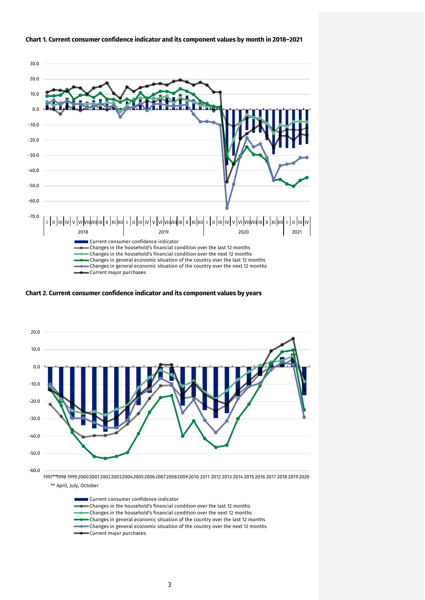

# **Chart 1. Current consumer confidence indicator and its component values by month in 2018–2021**

**Chart 2. Current consumer confidence indicator and its component values by years**



\*\* April, July, October

Current consumer confidence indicator Changes in the household's financial condition over the last 12 months Changes in the household's financial condition over the next 12 months Changes in general economic situation of the country over the last 12 months  $\bullet$  Changes in general economic situation of the country over the next 12 months Current major purchases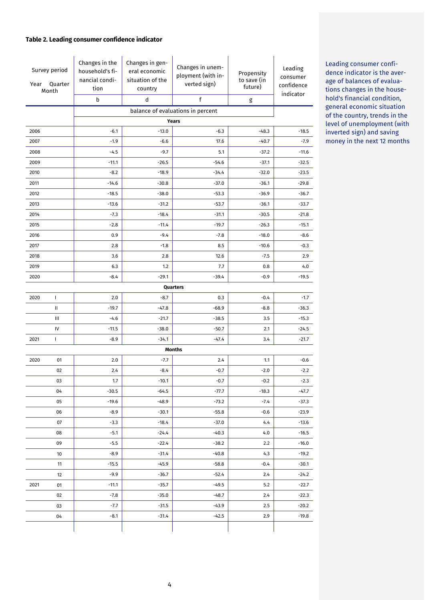# **Table 2. Leading consumer confidence indicator**

| Survey period<br>Quarter<br>Year<br>Month |              | Changes in the<br>household's fi-<br>nancial condi-<br>tion<br>b | Changes in gen-<br>eral economic<br>situation of the<br>country<br>d | Changes in unem-<br>ployment (with in-<br>verted sign)<br>$\mathsf{f}$ | Propensity<br>to save (in<br>future)<br>g | Leading<br>consumer<br>confidence<br>indicator |
|-------------------------------------------|--------------|------------------------------------------------------------------|----------------------------------------------------------------------|------------------------------------------------------------------------|-------------------------------------------|------------------------------------------------|
|                                           |              |                                                                  |                                                                      |                                                                        |                                           |                                                |
|                                           |              |                                                                  |                                                                      | balance of evaluations in percent<br>Years                             |                                           |                                                |
| 2006                                      |              | $-6.1$                                                           | $-13.0$                                                              | $-6.3$                                                                 | $-48.3$                                   | $-18.5$                                        |
| 2007                                      |              | $-1.9$                                                           | $-6.6$                                                               | 17.6                                                                   | $-40.7$                                   | $-7.9$                                         |
| 2008                                      |              | $-4.5$                                                           | $-9.7$                                                               | 5.1                                                                    | $-37.2$                                   | $-11.6$                                        |
| 2009                                      |              | $-11.1$                                                          | $-26.5$                                                              | $-54.6$                                                                | $-37.1$                                   | $-32.5$                                        |
| 2010                                      |              | $-8.2$                                                           | $-18.9$                                                              | $-34.4$                                                                | $-32.0$                                   | $-23.5$                                        |
| 2011                                      |              | $-14.6$                                                          | $-30.8$                                                              | $-37.0$                                                                | $-36.1$                                   | $-29.8$                                        |
| 2012                                      |              | $-18.5$                                                          | $-38.0$                                                              | $-53.3$                                                                | $-36.9$                                   | $-36.7$                                        |
| 2013                                      |              | $-13.6$                                                          | $-31.2$                                                              | $-53.7$                                                                | $-36.1$                                   | $-33.7$                                        |
| 2014                                      |              | $-7.3$                                                           | $-18.4$                                                              | $-31.1$                                                                | $-30.5$                                   | $-21.8$                                        |
| 2015                                      |              | $-2.8$                                                           | $-11.4$                                                              | $-19.7$                                                                | $-26.3$                                   | $-15.1$                                        |
| 2016                                      |              | 0.9                                                              | $-9.4$                                                               | $-7.8$                                                                 | $-18.0$                                   | $-8.6$                                         |
| 2017                                      |              | 2.8                                                              | $-1.8$                                                               | 8.5                                                                    | $-10.6$                                   | $-0.3$                                         |
| 2018                                      |              | 3.6                                                              | 2.8                                                                  | 12.6                                                                   | $-7.5$                                    | 2.9                                            |
| 2019                                      |              | 6.3                                                              | 1.2                                                                  | 7.7                                                                    | 0.8                                       | 4.0                                            |
| 2020                                      |              | $-8.4$                                                           | $-29.1$                                                              | $-39.4$                                                                | $-0.9$                                    | $-19.5$                                        |
|                                           |              |                                                                  |                                                                      | Quarters                                                               |                                           |                                                |
| 2020                                      | $\mathbf{I}$ | 2.0                                                              | $-8.7$                                                               | 0.3                                                                    | $-0.4$                                    | $-1.7$                                         |
|                                           | Ш            | $-19.7$                                                          | $-47.8$                                                              | $-68.9$                                                                | $-8.8$                                    | $-36.3$                                        |
|                                           | Ш            | $-4.6$                                                           | $-21.7$                                                              | $-38.5$                                                                | 3.5                                       | $-15.3$                                        |
|                                           | IV           | $-11.5$                                                          | $-38.0$                                                              | $-50.7$                                                                | 2.1                                       | $-24.5$                                        |
| 2021                                      | T            | $-8.9$                                                           | $-34.1$                                                              | $-47.4$                                                                | 3.4                                       | $-21.7$                                        |
|                                           |              |                                                                  |                                                                      | <b>Months</b>                                                          |                                           |                                                |
| 2020                                      | 01           | 2.0                                                              | $-7.7$                                                               | 2.4                                                                    | 1.1                                       | $-0.6$                                         |
|                                           | 02           | 2.4                                                              | $-8.4$                                                               | $-0.7$                                                                 | $-2.0$                                    | $-2.2$                                         |
|                                           | 03           | 1.7                                                              | $-10.1$                                                              | $-0.7$                                                                 | $-0.2$                                    | $-2.3$                                         |
|                                           | 04           | $-30.5$                                                          | $-64.5$                                                              | $-77.7$                                                                | $-18.3$                                   | $-47.7$                                        |
|                                           | 05           | $-19.6$                                                          | $-48.9$                                                              | $-73.2$                                                                | $-7.4$                                    | $-37.3$                                        |
|                                           | 06           | -8.9                                                             | $-30.1$                                                              | $-55.8$                                                                | $-0.6$                                    | $-23.9$                                        |
|                                           | 07           | $-3.3$                                                           | $-18.4$                                                              | $-37.0$                                                                | 4.4                                       | $-13.6$                                        |
|                                           | 08           | $-5.1$                                                           | $-24.4$                                                              | $-40.3$                                                                | 4.0                                       | $-16.5$                                        |
|                                           | 09           | $-5.5$                                                           | $-22.4$                                                              | $-38.2$                                                                | 2.2                                       | $-16.0$                                        |
|                                           | 10           | $-8.9$                                                           | $-31.4$                                                              | $-40.8$                                                                | 4.3                                       | $-19.2$                                        |
|                                           | 11           | $-15.5$                                                          | $-45.9$                                                              | $-58.8$                                                                | $-0.4$                                    | $-30.1$                                        |
|                                           | 12           | $-9.9$                                                           | $-36.7$                                                              | $-52.4$                                                                | 2.4                                       | $-24.2$                                        |
| 2021                                      | 01           | -11.1                                                            | $-35.7$                                                              | -49.5                                                                  | 5.2                                       | -22.7                                          |
|                                           | 02           | $-7.8$                                                           | $-35.0$                                                              | $-48.7$                                                                | 2.4                                       | $-22.3$                                        |
|                                           | 03           | $-7.7$                                                           | $-31.5$                                                              | $-43.9$                                                                | 2.5                                       | $-20.2$                                        |
|                                           | 04           | $-8.1$                                                           | $-31.4$                                                              | $-42.5$                                                                | 2.9                                       | $-19.8$                                        |
|                                           |              |                                                                  |                                                                      |                                                                        |                                           |                                                |

Leading consumer confidence indicator is the average of balances of evaluations changes in the household's financial condition, general economic situation of the country, trends in the level of unemployment (with inverted sign) and saving money in the next 12 months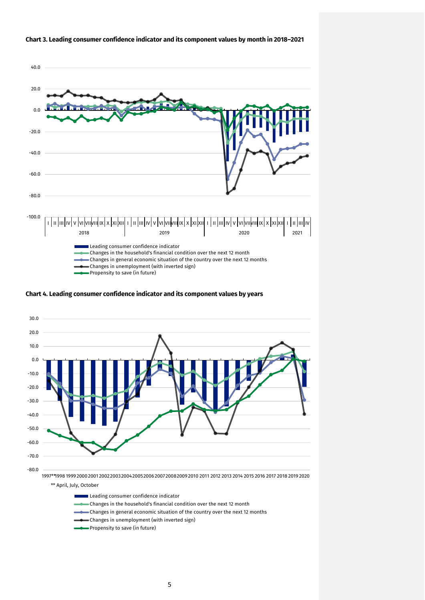

#### **Chart 3. Leading consumer confidence indicator and its component values by month in 2018–2021**

**Chart 4. Leading consumer confidence indicator and its component values by years**



Leading consumer confidence indicator

- Changes in the household's financial condition over the next 12 month
- Changes in general economic situation of the country over the next 12 months
- Changes in unemployment (with inverted sign)
- Propensity to save (in future)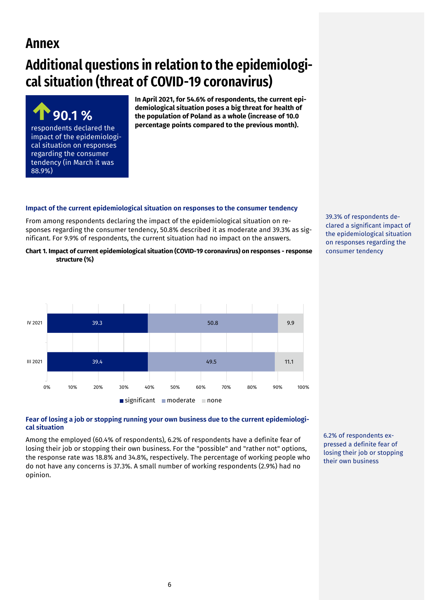# **Annex**

# **Additional questions in relation to the epidemiological situation (threat of COVID-19 coronavirus)**

**90.1 %**  respondents declared the impact of the epidemiological situation on responses regarding the consumer tendency (in March it was 88.9%)

**In April 2021, for 54.6% of respondents, the current epidemiological situation poses a big threat for health of the population of Poland as a whole (increase of 10.0 percentage points compared to the previous month).** 

# **Impact of the current epidemiological situation on responses to the consumer tendency**

From among respondents declaring the impact of the epidemiological situation on responses regarding the consumer tendency, 50.8% described it as moderate and 39.3% as significant. For 9.9% of respondents, the current situation had no impact on the answers.

**Chart 1. Impact of current epidemiological situation (COVID-19 coronavirus) on responses - response structure (%)**



# **Fear of losing a job or stopping running your own business due to the current epidemiological situation**

Among the employed (60.4% of respondents), 6.2% of respondents have a definite fear of losing their job or stopping their own business. For the "possible" and "rather not" options, the response rate was 18.8% and 34.8%, respectively. The percentage of working people who do not have any concerns is 37.3%. A small number of working respondents (2.9%) had no opinion.

39.3% of respondents declared a significant impact of the epidemiological situation on responses regarding the consumer tendency

6.2% of respondents expressed a definite fear of losing their job or stopping their own business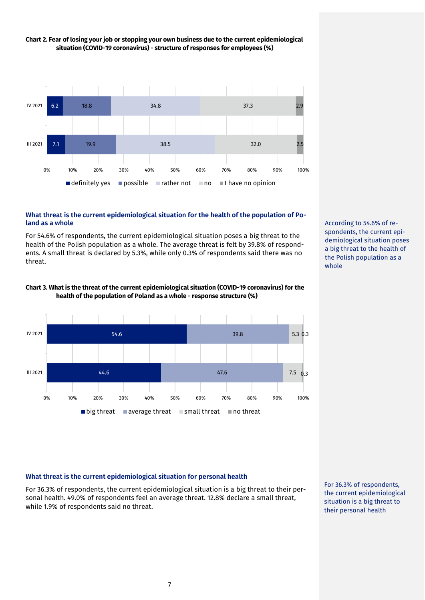

# **Chart 2. Fear of losing your job or stopping your own business due to the current epidemiological situation (COVID-19 coronavirus) - structure of responses for employees (%)**

# **What threat is the current epidemiological situation for the health of the population of Poland as a whole**

For 54.6% of respondents, the current epidemiological situation poses a big threat to the health of the Polish population as a whole. The average threat is felt by 39.8% of respondents. A small threat is declared by 5.3%, while only 0.3% of respondents said there was no threat.





According to 54.6% of respondents, the current epidemiological situation poses a big threat to the health of the Polish population as a whole

# **What threat is the current epidemiological situation for personal health**

For 36.3% of respondents, the current epidemiological situation is a big threat to their personal health. 49.0% of respondents feel an average threat. 12.8% declare a small threat, while 1.9% of respondents said no threat.

For 36.3% of respondents, the current epidemiological situation is a big threat to their personal health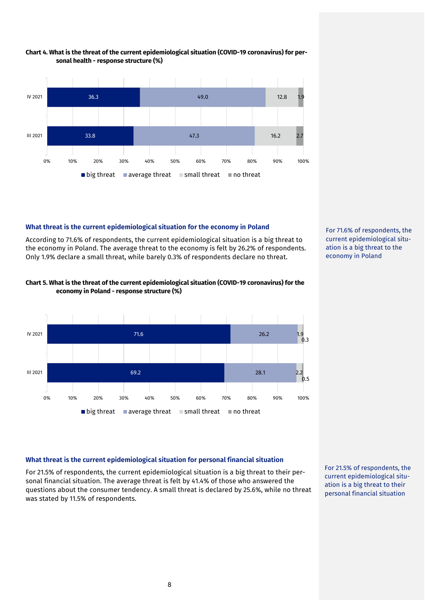

# **Chart 4. What is the threat of the current epidemiological situation (COVID-19 coronavirus) for personal health - response structure (%)**

# **What threat is the current epidemiological situation for the economy in Poland**

According to 71.6% of respondents, the current epidemiological situation is a big threat to the economy in Poland. The average threat to the economy is felt by 26.2% of respondents. Only 1.9% declare a small threat, while barely 0.3% of respondents declare no threat.



# **Chart 5. What is the threat of the current epidemiological situation (COVID-19 coronavirus) for the economy in Poland - response structure (%)**



#### **What threat is the current epidemiological situation for personal financial situation**

For 21.5% of respondents, the current epidemiological situation is a big threat to their personal financial situation. The average threat is felt by 41.4% of those who answered the questions about the consumer tendency. A small threat is declared by 25.6%, while no threat was stated by 11.5% of respondents.

For 21.5% of respondents, the current epidemiological situation is a big threat to their personal financial situation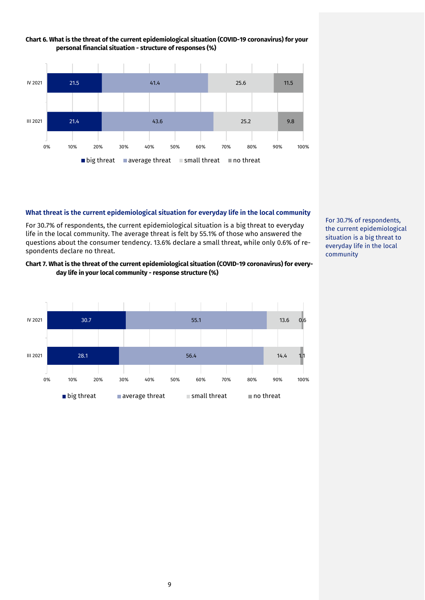

# **Chart 6. What is the threat of the current epidemiological situation (COVID-19 coronavirus) for your personal financial situation - structure of responses (%)**

#### **What threat is the current epidemiological situation for everyday life in the local community**

For 30.7% of respondents, the current epidemiological situation is a big threat to everyday life in the local community. The average threat is felt by 55.1% of those who answered the questions about the consumer tendency. 13.6% declare a small threat, while only 0.6% of respondents declare no threat.

# **Chart 7. What is the threat of the current epidemiological situation (COVID-19 coronavirus) for everyday life in your local community - response structure (%)**



For 30.7% of respondents, the current epidemiological situation is a big threat to everyday life in the local community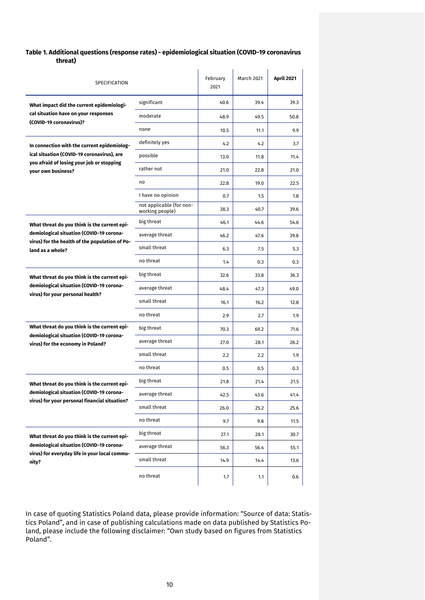# **Table 1. Additional questions (response rates) - epidemiological situation (COVID-19 coronavirus threat)**

| SPECIFICATION                                                                             |                                             | February<br>2021 | <b>March 2021</b> | <b>April 2021</b> |
|-------------------------------------------------------------------------------------------|---------------------------------------------|------------------|-------------------|-------------------|
| What impact did the current epidemiologi-                                                 | significant                                 | 40.6             | 39.4              | 39.3              |
| cal situation have on your responses<br>(COVID-19 coronavirus)?                           | moderate                                    | 48.9             | 49.5              | 50.8              |
|                                                                                           | none                                        | 10.5             | 11.1              | 9.9               |
| In connection with the current epidemiolog-                                               | definitely yes                              | 4.2              | 4.2               | 3.7               |
| ical situation (COVID-19 coronavirus), are<br>you afraid of losing your job or stopping   | possible                                    | 13.0             | 11.8              | 11.4              |
| vour own business?                                                                        | rather not                                  | 21.0             | 22.8              | 21.0              |
|                                                                                           | no                                          | 22.8             | 19.0              | 22.5              |
|                                                                                           | I have no opinion                           | 0.7              | 1.5               | 1.8               |
|                                                                                           | not applicable (for non-<br>working people) | 38.3             | 40.7              | 39.6              |
| What threat do you think is the current epi-                                              | big threat                                  | 46.1             | 44.6              | 54.6              |
| demiological situation (COVID-19 corona-                                                  | average threat                              | 46.2             | 47.6              | 39.8              |
| virus) for the health of the population of Po-<br>land as a whole?                        | small threat                                | 6.3              | 7.5               | 5.3               |
|                                                                                           | no threat                                   | 1.4              | 0.3               | 0.3               |
| What threat do you think is the current epi-                                              | big threat                                  | 32.6             | 33.8              | 36.3              |
| demiological situation (COVID-19 corona-<br>virus) for your personal health?              | average threat                              | 48.4             | 47.3              | 49.0              |
|                                                                                           | small threat                                | 16.1             | 16.2              | 12.8              |
|                                                                                           | no threat                                   | 2.9              | 2.7               | 1.9               |
| What threat do you think is the current epi-                                              | big threat                                  | 70.3             | 69.2              | 71.6              |
| demiological situation (COVID-19 corona-<br>virus) for the economy in Poland?             | average threat                              | 27.0             | 28.1              | 26.2              |
|                                                                                           | small threat                                | 2.2              | 2.2               | 1.9               |
|                                                                                           | no threat                                   | 0.5              | 0.5               | 0.3               |
| What threat do you think is the current epi-                                              | big threat                                  | 21.8             | 21.4              | 21.5              |
| demiological situation (COVID-19 corona-<br>virus) for your personal financial situation? | average threat                              | 42.5             | 43.6              | 41.4              |
|                                                                                           | small threat                                | 26.0             | 25.2              | 25.6              |
|                                                                                           | no threat                                   | 9.7              | 9.8               | 11.5              |
| What threat do you think is the current epi-                                              | big threat                                  | 27.1             | 28.1              | 30.7              |
| demiological situation (COVID-19 corona-<br>virus) for everyday life in your local commu- | average threat                              | 56.3             | 56.4              | 55.1              |
| nity?                                                                                     | small threat                                | 14.9             | 14.4              | 13.6              |
|                                                                                           | no threat                                   | 1.7              | 1.1               | 0.6               |

In case of quoting Statistics Poland data, please provide information: "Source of data: Statistics Poland", and in case of publishing calculations made on data published by Statistics Poland, please include the following disclaimer: "Own study based on figures from Statistics Poland".